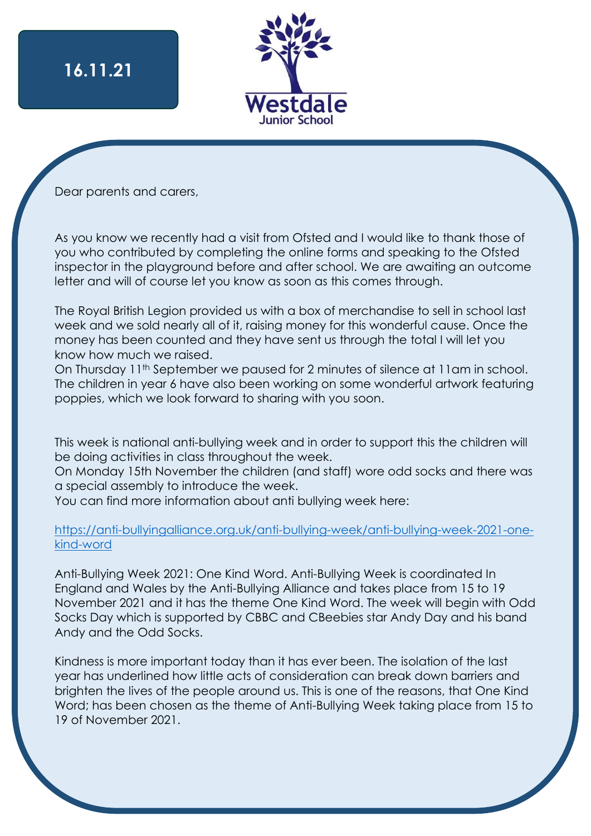

Dear parents and carers,

As you know we recently had a visit from Ofsted and I would like to thank those of you who contributed by completing the online forms and speaking to the Ofsted inspector in the playground before and after school. We are awaiting an outcome letter and will of course let you know as soon as this comes through.

The Royal British Legion provided us with a box of merchandise to sell in school last week and we sold nearly all of it, raising money for this wonderful cause. Once the money has been counted and they have sent us through the total I will let you know how much we raised.

On Thursday 11<sup>th</sup> September we paused for 2 minutes of silence at 11am in school. The children in year 6 have also been working on some wonderful artwork featuring poppies, which we look forward to sharing with you soon.

This week is national anti-bullying week and in order to support this the children will be doing activities in class throughout the week.

On Monday 15th November the children (and staff) wore odd socks and there was a special assembly to introduce the week.

You can find more information about anti bullying week here:

#### [https://anti-bullyingalliance.org.uk/anti-bullying-week/anti-bullying-week-2021-one](https://anti-bullyingalliance.org.uk/anti-bullying-week/anti-bullying-week-2021-one-kind-word)[kind-word](https://anti-bullyingalliance.org.uk/anti-bullying-week/anti-bullying-week-2021-one-kind-word)

Anti-Bullying Week 2021: One Kind Word. Anti-Bullying Week is coordinated In England and Wales by the Anti-Bullying Alliance and takes place from 15 to 19 November 2021 and it has the theme One Kind Word. The week will begin with Odd Socks Day which is supported by CBBC and CBeebies star Andy Day and his band Andy and the Odd Socks.

Kindness is more important today than it has ever been. The isolation of the last year has underlined how little acts of consideration can break down barriers and brighten the lives of the people around us. This is one of the reasons, that One Kind Word; has been chosen as the theme of Anti-Bullying Week taking place from 15 to 19 of November 2021.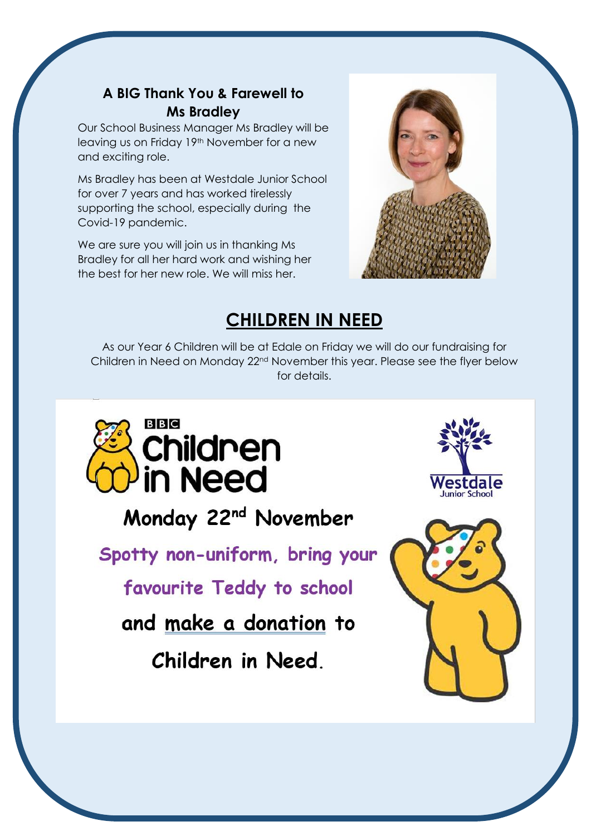#### **A BIG Thank You & Farewell to Ms Bradley**

Our School Business Manager Ms Bradley will be leaving us on Friday 19th November for a new and exciting role.

Ms Bradley has been at Westdale Junior School for over 7 years and has worked tirelessly supporting the school, especially during the Covid-19 pandemic.

We are sure you will join us in thanking Ms Bradley for all her hard work and wishing her the best for her new role. We will miss her.



## **CHILDREN IN NEED**

As our Year 6 Children will be at Edale on Friday we will do our fundraising for Children in Need on Monday 22nd November this year. Please see the flyer below for details.



Monday 22<sup>nd</sup> November

Spotty non-uniform, bring your

favourite Teddy to school

and make a donation to

Children in Need.